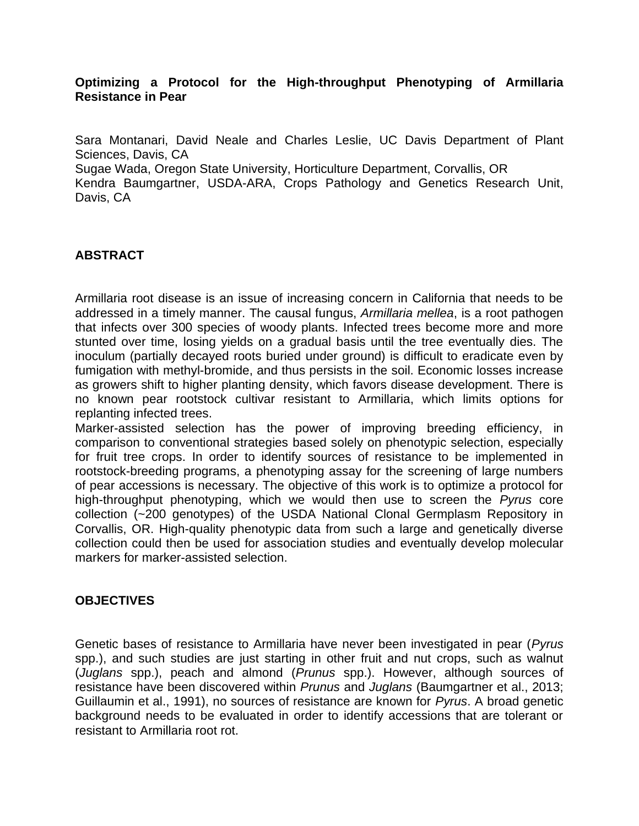# **Optimizing a Protocol for the High-throughput Phenotyping of Armillaria Resistance in Pear**

Sara Montanari, David Neale and Charles Leslie, UC Davis Department of Plant Sciences, Davis, CA

Sugae Wada, Oregon State University, Horticulture Department, Corvallis, OR

Kendra Baumgartner, USDA-ARA, Crops Pathology and Genetics Research Unit, Davis, CA

# **ABSTRACT**

Armillaria root disease is an issue of increasing concern in California that needs to be addressed in a timely manner. The causal fungus, *Armillaria mellea*, is a root pathogen that infects over 300 species of woody plants. Infected trees become more and more stunted over time, losing yields on a gradual basis until the tree eventually dies. The inoculum (partially decayed roots buried under ground) is difficult to eradicate even by fumigation with methyl-bromide, and thus persists in the soil. Economic losses increase as growers shift to higher planting density, which favors disease development. There is no known pear rootstock cultivar resistant to Armillaria, which limits options for replanting infected trees.

Marker-assisted selection has the power of improving breeding efficiency, in comparison to conventional strategies based solely on phenotypic selection, especially for fruit tree crops. In order to identify sources of resistance to be implemented in rootstock-breeding programs, a phenotyping assay for the screening of large numbers of pear accessions is necessary. The objective of this work is to optimize a protocol for high-throughput phenotyping, which we would then use to screen the *Pyrus* core collection (~200 genotypes) of the USDA National Clonal Germplasm Repository in Corvallis, OR. High-quality phenotypic data from such a large and genetically diverse collection could then be used for association studies and eventually develop molecular markers for marker-assisted selection.

## **OBJECTIVES**

Genetic bases of resistance to Armillaria have never been investigated in pear (*Pyrus* spp.), and such studies are just starting in other fruit and nut crops, such as walnut (*Juglans* spp.), peach and almond (*Prunus* spp.). However, although sources of resistance have been discovered within *Prunus* and *Juglans* (Baumgartner et al., 2013; Guillaumin et al., 1991), no sources of resistance are known for *Pyrus*. A broad genetic background needs to be evaluated in order to identify accessions that are tolerant or resistant to Armillaria root rot.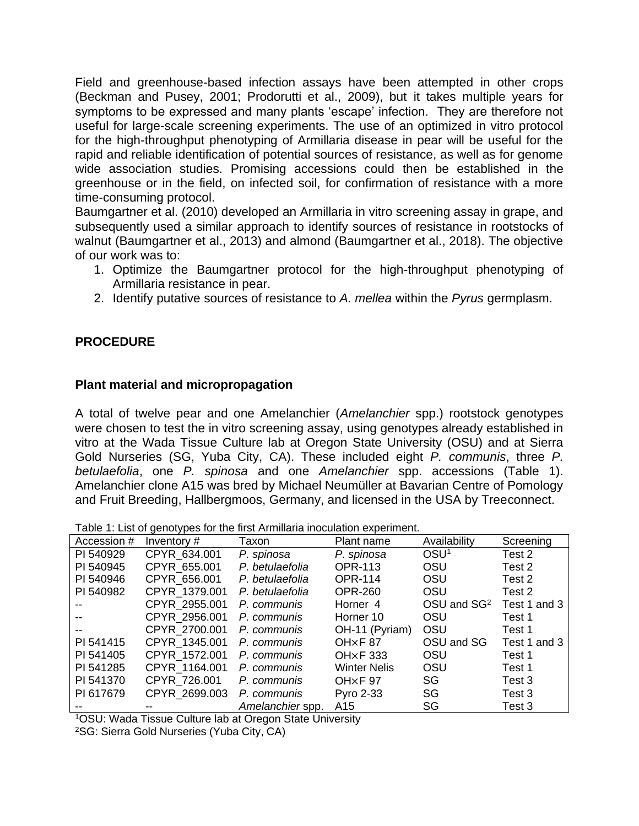Field and greenhouse-based infection assays have been attempted in other crops (Beckman and Pusey, 2001; Prodorutti et al., 2009), but it takes multiple years for symptoms to be expressed and many plants 'escape' infection. They are therefore not useful for large-scale screening experiments. The use of an optimized in vitro protocol for the high-throughput phenotyping of Armillaria disease in pear will be useful for the rapid and reliable identification of potential sources of resistance, as well as for genome wide association studies. Promising accessions could then be established in the greenhouse or in the field, on infected soil, for confirmation of resistance with a more time-consuming protocol.

Baumgartner et al. (2010) developed an Armillaria in vitro screening assay in grape, and subsequently used a similar approach to identify sources of resistance in rootstocks of walnut (Baumgartner et al., 2013) and almond (Baumgartner et al., 2018). The objective of our work was to:

- 1. Optimize the Baumgartner protocol for the high-throughput phenotyping of Armillaria resistance in pear.
- 2. Identify putative sources of resistance to *A. mellea* within the *Pyrus* germplasm.

# **PROCEDURE**

# **Plant material and micropropagation**

A total of twelve pear and one Amelanchier (*Amelanchier* spp.) rootstock genotypes were chosen to test the in vitro screening assay, using genotypes already established in vitro at the Wada Tissue Culture lab at Oregon State University (OSU) and at Sierra Gold Nurseries (SG, Yuba City, CA). These included eight *P. communis*, three *P. betulaefolia*, one *P. spinosa* and one *Amelanchier* spp. accessions (Table 1). Amelanchier clone A15 was bred by Michael Neumüller at Bavarian Centre of Pomology and Fruit Breeding, Hallbergmoos, Germany, and licensed in the USA by Treeconnect.

|  |  |  | Table 1: List of genotypes for the first Armillaria inoculation experiment. |
|--|--|--|-----------------------------------------------------------------------------|
|  |  |  |                                                                             |

| <b>Table 1: Elect of gorlotyped for the motif thrilliana incodidition experiments</b> |               |                  |                                 |                         |              |  |  |  |  |  |
|---------------------------------------------------------------------------------------|---------------|------------------|---------------------------------|-------------------------|--------------|--|--|--|--|--|
| Accession #                                                                           | Inventory $#$ | Taxon            | Plant name                      | Availability            | Screening    |  |  |  |  |  |
| PI 540929                                                                             | CPYR 634.001  | P. spinosa       | P. spinosa                      | OSU <sup>1</sup>        | Test 2       |  |  |  |  |  |
| PI 540945                                                                             | CPYR_655.001  | P. betulaefolia  | <b>OPR-113</b>                  | OSU                     | Test 2       |  |  |  |  |  |
| PI 540946                                                                             | CPYR 656.001  | P. betulaefolia  | <b>OPR-114</b>                  | OSU                     | Test 2       |  |  |  |  |  |
| PI 540982                                                                             | CPYR 1379.001 | P. betulaefolia  | <b>OPR-260</b>                  | OSU                     | Test 2       |  |  |  |  |  |
|                                                                                       | CPYR 2955.001 | P. communis      | Horner <sub>4</sub>             | OSU and SG <sup>2</sup> | Test 1 and 3 |  |  |  |  |  |
|                                                                                       | CPYR 2956.001 | P. communis      | Horner 10                       | OSU                     | Test 1       |  |  |  |  |  |
|                                                                                       | CPYR 2700.001 | P. communis      | OH-11 (Pyriam)                  | OSU                     | Test 1       |  |  |  |  |  |
| PI 541415                                                                             | CPYR 1345.001 | P. communis      | OH <sub>x</sub> F <sub>87</sub> | OSU and SG              | Test 1 and 3 |  |  |  |  |  |
| PI 541405                                                                             | CPYR 1572.001 | P. communis      | <b>OH<sub>x</sub>F</b> 333      | OSU                     | Test 1       |  |  |  |  |  |
| PI 541285                                                                             | CPYR 1164.001 | P. communis      | <b>Winter Nelis</b>             | OSU                     | Test 1       |  |  |  |  |  |
| PI 541370                                                                             | CPYR 726.001  | P. communis      | $OH \times F$ 97                | SG                      | Test 3       |  |  |  |  |  |
| PI 617679                                                                             | CPYR 2699.003 | P. communis      | <b>Pyro 2-33</b>                | SG                      | Test 3       |  |  |  |  |  |
|                                                                                       |               | Amelanchier spp. | A15                             | SG                      | Test 3       |  |  |  |  |  |

<sup>1</sup>OSU: Wada Tissue Culture lab at Oregon State University

2SG: Sierra Gold Nurseries (Yuba City, CA)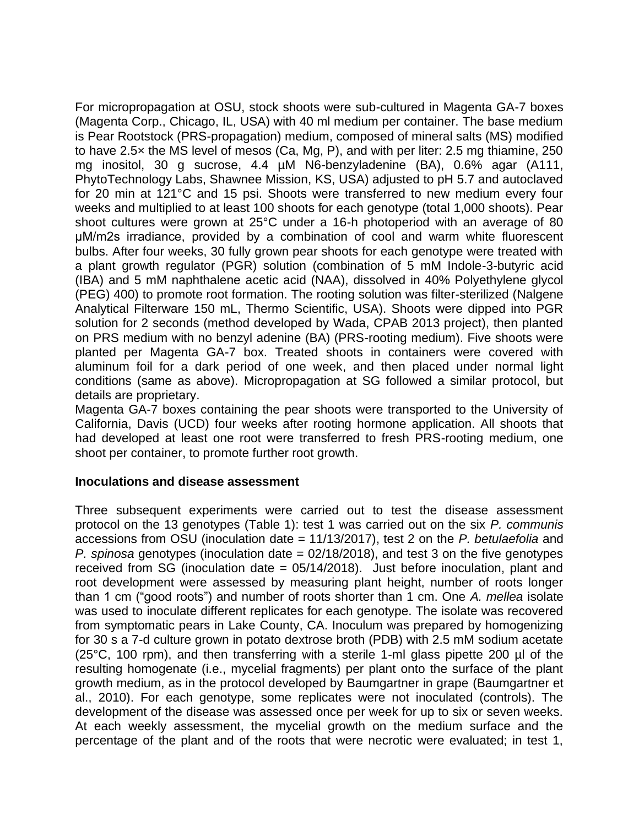For micropropagation at OSU, stock shoots were sub-cultured in Magenta GA-7 boxes (Magenta Corp., Chicago, IL, USA) with 40 ml medium per container. The base medium is Pear Rootstock (PRS-propagation) medium, composed of mineral salts (MS) modified to have 2.5× the MS level of mesos (Ca, Mg, P), and with per liter: 2.5 mg thiamine, 250 mg inositol, 30 g sucrose, 4.4 µM N6-benzyladenine (BA), 0.6% agar (A111, PhytoTechnology Labs, Shawnee Mission, KS, USA) adjusted to pH 5.7 and autoclaved for 20 min at 121°C and 15 psi. Shoots were transferred to new medium every four weeks and multiplied to at least 100 shoots for each genotype (total 1,000 shoots). Pear shoot cultures were grown at 25°C under a 16-h photoperiod with an average of 80 μM/m2s irradiance, provided by a combination of cool and warm white fluorescent bulbs. After four weeks, 30 fully grown pear shoots for each genotype were treated with a plant growth regulator (PGR) solution (combination of 5 mM Indole-3-butyric acid (IBA) and 5 mM naphthalene acetic acid (NAA), dissolved in 40% Polyethylene glycol (PEG) 400) to promote root formation. The rooting solution was filter-sterilized (Nalgene Analytical Filterware 150 mL, Thermo Scientific, USA). Shoots were dipped into PGR solution for 2 seconds (method developed by Wada, CPAB 2013 project), then planted on PRS medium with no benzyl adenine (BA) (PRS-rooting medium). Five shoots were planted per Magenta GA-7 box. Treated shoots in containers were covered with aluminum foil for a dark period of one week, and then placed under normal light conditions (same as above). Micropropagation at SG followed a similar protocol, but details are proprietary.

Magenta GA-7 boxes containing the pear shoots were transported to the University of California, Davis (UCD) four weeks after rooting hormone application. All shoots that had developed at least one root were transferred to fresh PRS-rooting medium, one shoot per container, to promote further root growth.

## **Inoculations and disease assessment**

Three subsequent experiments were carried out to test the disease assessment protocol on the 13 genotypes (Table 1): test 1 was carried out on the six *P. communis* accessions from OSU (inoculation date = 11/13/2017), test 2 on the *P. betulaefolia* and *P. spinosa* genotypes (inoculation date = 02/18/2018), and test 3 on the five genotypes received from SG (inoculation date = 05/14/2018). Just before inoculation, plant and root development were assessed by measuring plant height, number of roots longer than 1 cm ("good roots") and number of roots shorter than 1 cm. One *A. mellea* isolate was used to inoculate different replicates for each genotype. The isolate was recovered from symptomatic pears in Lake County, CA. Inoculum was prepared by homogenizing for 30 s a 7-d culture grown in potato dextrose broth (PDB) with 2.5 mM sodium acetate (25°C, 100 rpm), and then transferring with a sterile 1-ml glass pipette 200 µl of the resulting homogenate (i.e., mycelial fragments) per plant onto the surface of the plant growth medium, as in the protocol developed by Baumgartner in grape (Baumgartner et al., 2010). For each genotype, some replicates were not inoculated (controls). The development of the disease was assessed once per week for up to six or seven weeks. At each weekly assessment, the mycelial growth on the medium surface and the percentage of the plant and of the roots that were necrotic were evaluated; in test 1,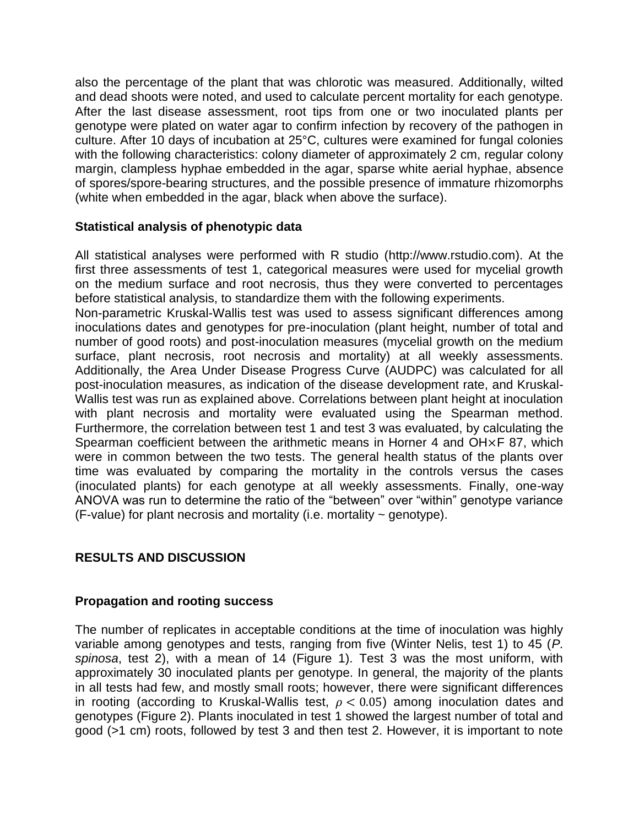also the percentage of the plant that was chlorotic was measured. Additionally, wilted and dead shoots were noted, and used to calculate percent mortality for each genotype. After the last disease assessment, root tips from one or two inoculated plants per genotype were plated on water agar to confirm infection by recovery of the pathogen in culture. After 10 days of incubation at 25°C, cultures were examined for fungal colonies with the following characteristics: colony diameter of approximately 2 cm, regular colony margin, clampless hyphae embedded in the agar, sparse white aerial hyphae, absence of spores/spore-bearing structures, and the possible presence of immature rhizomorphs (white when embedded in the agar, black when above the surface).

# **Statistical analysis of phenotypic data**

All statistical analyses were performed with R studio [\(http://www.rstudio.com\)](http://www.rstudio.com/). At the first three assessments of test 1, categorical measures were used for mycelial growth on the medium surface and root necrosis, thus they were converted to percentages before statistical analysis, to standardize them with the following experiments.

Non-parametric Kruskal-Wallis test was used to assess significant differences among inoculations dates and genotypes for pre-inoculation (plant height, number of total and number of good roots) and post-inoculation measures (mycelial growth on the medium surface, plant necrosis, root necrosis and mortality) at all weekly assessments. Additionally, the Area Under Disease Progress Curve (AUDPC) was calculated for all post-inoculation measures, as indication of the disease development rate, and Kruskal-Wallis test was run as explained above. Correlations between plant height at inoculation with plant necrosis and mortality were evaluated using the Spearman method. Furthermore, the correlation between test 1 and test 3 was evaluated, by calculating the Spearman coefficient between the arithmetic means in Horner 4 and OH×F 87, which were in common between the two tests. The general health status of the plants over time was evaluated by comparing the mortality in the controls versus the cases (inoculated plants) for each genotype at all weekly assessments. Finally, one-way ANOVA was run to determine the ratio of the "between" over "within" genotype variance (F-value) for plant necrosis and mortality (i.e. mortality  $\sim$  genotype).

# **RESULTS AND DISCUSSION**

## **Propagation and rooting success**

The number of replicates in acceptable conditions at the time of inoculation was highly variable among genotypes and tests, ranging from five (Winter Nelis, test 1) to 45 (*P. spinosa*, test 2), with a mean of 14 (Figure 1). Test 3 was the most uniform, with approximately 30 inoculated plants per genotype. In general, the majority of the plants in all tests had few, and mostly small roots; however, there were significant differences in rooting (according to Kruskal-Wallis test,  $\rho < 0.05$ ) among inoculation dates and genotypes (Figure 2). Plants inoculated in test 1 showed the largest number of total and good (>1 cm) roots, followed by test 3 and then test 2. However, it is important to note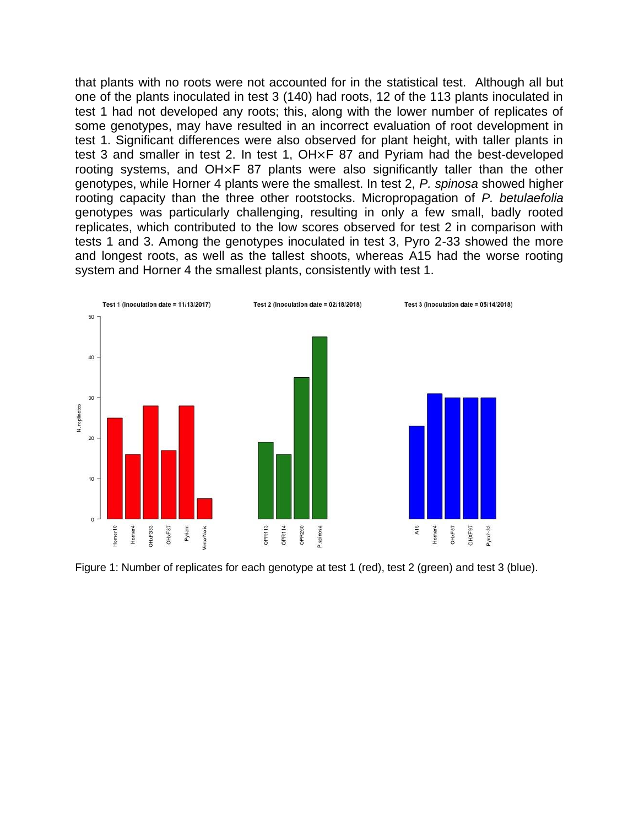that plants with no roots were not accounted for in the statistical test. Although all but one of the plants inoculated in test 3 (140) had roots, 12 of the 113 plants inoculated in test 1 had not developed any roots; this, along with the lower number of replicates of some genotypes, may have resulted in an incorrect evaluation of root development in test 1. Significant differences were also observed for plant height, with taller plants in test 3 and smaller in test 2. In test 1, OH×F 87 and Pyriam had the best-developed rooting systems, and OH×F 87 plants were also significantly taller than the other genotypes, while Horner 4 plants were the smallest. In test 2, *P. spinosa* showed higher rooting capacity than the three other rootstocks. Micropropagation of *P. betulaefolia* genotypes was particularly challenging, resulting in only a few small, badly rooted replicates, which contributed to the low scores observed for test 2 in comparison with tests 1 and 3. Among the genotypes inoculated in test 3, Pyro 2-33 showed the more and longest roots, as well as the tallest shoots, whereas A15 had the worse rooting system and Horner 4 the smallest plants, consistently with test 1.



Figure 1: Number of replicates for each genotype at test 1 (red), test 2 (green) and test 3 (blue).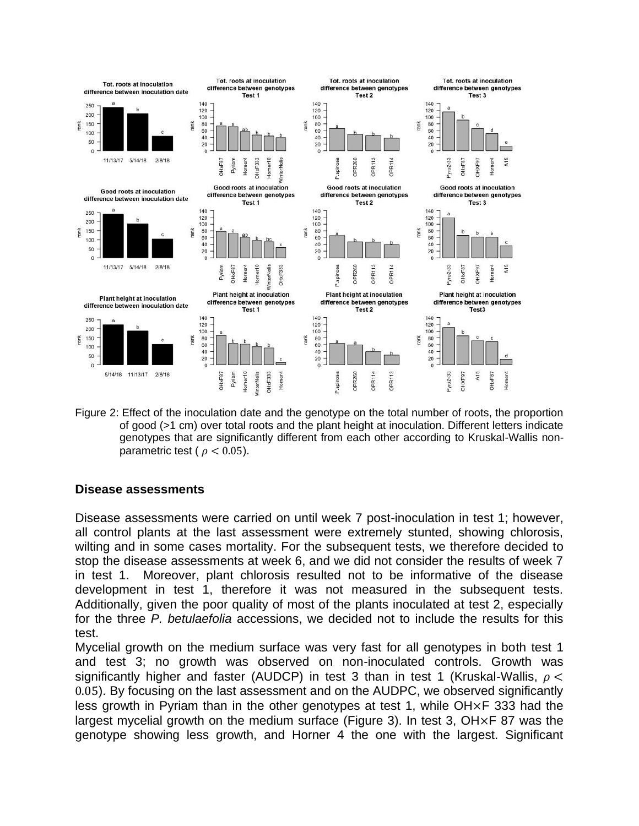

Figure 2: Effect of the inoculation date and the genotype on the total number of roots, the proportion of good (>1 cm) over total roots and the plant height at inoculation. Different letters indicate genotypes that are significantly different from each other according to Kruskal-Wallis nonparametric test ( $\rho < 0.05$ ).

## **Disease assessments**

Disease assessments were carried on until week 7 post-inoculation in test 1; however, all control plants at the last assessment were extremely stunted, showing chlorosis, wilting and in some cases mortality. For the subsequent tests, we therefore decided to stop the disease assessments at week 6, and we did not consider the results of week 7 in test 1. Moreover, plant chlorosis resulted not to be informative of the disease development in test 1, therefore it was not measured in the subsequent tests. Additionally, given the poor quality of most of the plants inoculated at test 2, especially for the three *P. betulaefolia* accessions, we decided not to include the results for this test.

Mycelial growth on the medium surface was very fast for all genotypes in both test 1 and test 3; no growth was observed on non-inoculated controls. Growth was significantly higher and faster (AUDCP) in test 3 than in test 1 (Kruskal-Wallis,  $\rho$  < 0.05). By focusing on the last assessment and on the AUDPC, we observed significantly less growth in Pyriam than in the other genotypes at test 1, while OH×F 333 had the largest mycelial growth on the medium surface (Figure 3). In test 3, OH×F 87 was the genotype showing less growth, and Horner 4 the one with the largest. Significant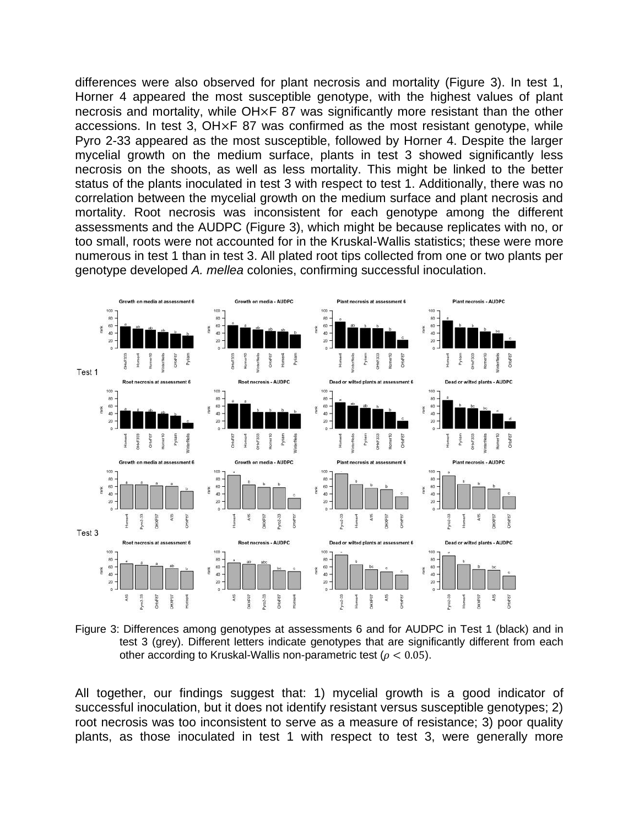differences were also observed for plant necrosis and mortality (Figure 3). In test 1, Horner 4 appeared the most susceptible genotype, with the highest values of plant necrosis and mortality, while OH×F 87 was significantly more resistant than the other accessions. In test 3, OH×F 87 was confirmed as the most resistant genotype, while Pyro 2-33 appeared as the most susceptible, followed by Horner 4. Despite the larger mycelial growth on the medium surface, plants in test 3 showed significantly less necrosis on the shoots, as well as less mortality. This might be linked to the better status of the plants inoculated in test 3 with respect to test 1. Additionally, there was no correlation between the mycelial growth on the medium surface and plant necrosis and mortality. Root necrosis was inconsistent for each genotype among the different assessments and the AUDPC (Figure 3), which might be because replicates with no, or too small, roots were not accounted for in the Kruskal-Wallis statistics; these were more numerous in test 1 than in test 3. All plated root tips collected from one or two plants per genotype developed *A. mellea* colonies, confirming successful inoculation.



Figure 3: Differences among genotypes at assessments 6 and for AUDPC in Test 1 (black) and in test 3 (grey). Different letters indicate genotypes that are significantly different from each other according to Kruskal-Wallis non-parametric test ( $\rho < 0.05$ ).

All together, our findings suggest that: 1) mycelial growth is a good indicator of successful inoculation, but it does not identify resistant versus susceptible genotypes; 2) root necrosis was too inconsistent to serve as a measure of resistance; 3) poor quality plants, as those inoculated in test 1 with respect to test 3, were generally more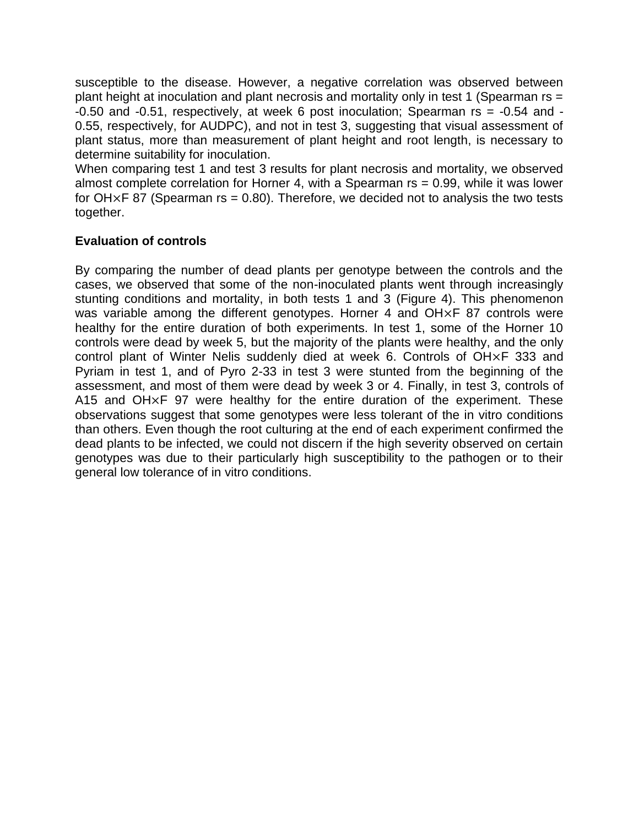susceptible to the disease. However, a negative correlation was observed between plant height at inoculation and plant necrosis and mortality only in test 1 (Spearman rs = -0.50 and -0.51, respectively, at week 6 post inoculation; Spearman rs = -0.54 and - 0.55, respectively, for AUDPC), and not in test 3, suggesting that visual assessment of plant status, more than measurement of plant height and root length, is necessary to determine suitability for inoculation.

When comparing test 1 and test 3 results for plant necrosis and mortality, we observed almost complete correlation for Horner 4, with a Spearman  $rs = 0.99$ , while it was lower for  $OH \times F$  87 (Spearman rs = 0.80). Therefore, we decided not to analysis the two tests together.

# **Evaluation of controls**

By comparing the number of dead plants per genotype between the controls and the cases, we observed that some of the non-inoculated plants went through increasingly stunting conditions and mortality, in both tests 1 and 3 (Figure 4). This phenomenon was variable among the different genotypes. Horner 4 and OH×F 87 controls were healthy for the entire duration of both experiments. In test 1, some of the Horner 10 controls were dead by week 5, but the majority of the plants were healthy, and the only control plant of Winter Nelis suddenly died at week 6. Controls of OH×F 333 and Pyriam in test 1, and of Pyro 2-33 in test 3 were stunted from the beginning of the assessment, and most of them were dead by week 3 or 4. Finally, in test 3, controls of A15 and OH×F 97 were healthy for the entire duration of the experiment. These observations suggest that some genotypes were less tolerant of the in vitro conditions than others. Even though the root culturing at the end of each experiment confirmed the dead plants to be infected, we could not discern if the high severity observed on certain genotypes was due to their particularly high susceptibility to the pathogen or to their general low tolerance of in vitro conditions.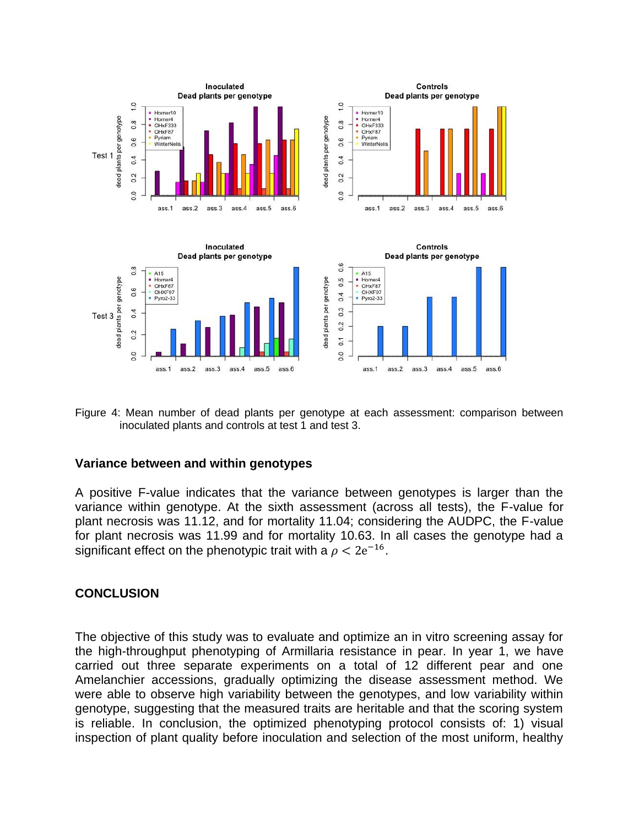

Figure 4: Mean number of dead plants per genotype at each assessment: comparison between inoculated plants and controls at test 1 and test 3.

#### **Variance between and within genotypes**

A positive F-value indicates that the variance between genotypes is larger than the variance within genotype. At the sixth assessment (across all tests), the F-value for plant necrosis was 11.12, and for mortality 11.04; considering the AUDPC, the F-value for plant necrosis was 11.99 and for mortality 10.63. In all cases the genotype had a significant effect on the phenotypic trait with a  $\rho < 2e^{-16}$ .

#### **CONCLUSION**

The objective of this study was to evaluate and optimize an in vitro screening assay for the high-throughput phenotyping of Armillaria resistance in pear. In year 1, we have carried out three separate experiments on a total of 12 different pear and one Amelanchier accessions, gradually optimizing the disease assessment method. We were able to observe high variability between the genotypes, and low variability within genotype, suggesting that the measured traits are heritable and that the scoring system is reliable. In conclusion, the optimized phenotyping protocol consists of: 1) visual inspection of plant quality before inoculation and selection of the most uniform, healthy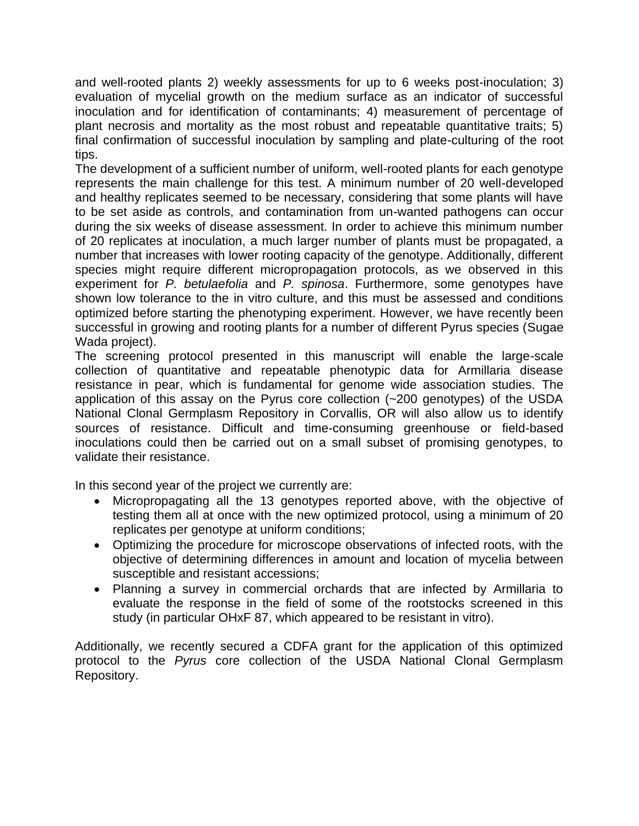and well-rooted plants 2) weekly assessments for up to 6 weeks post-inoculation; 3) evaluation of mycelial growth on the medium surface as an indicator of successful inoculation and for identification of contaminants; 4) measurement of percentage of plant necrosis and mortality as the most robust and repeatable quantitative traits; 5) final confirmation of successful inoculation by sampling and plate-culturing of the root tips.

The development of a sufficient number of uniform, well-rooted plants for each genotype represents the main challenge for this test. A minimum number of 20 well-developed and healthy replicates seemed to be necessary, considering that some plants will have to be set aside as controls, and contamination from un-wanted pathogens can occur during the six weeks of disease assessment. In order to achieve this minimum number of 20 replicates at inoculation, a much larger number of plants must be propagated, a number that increases with lower rooting capacity of the genotype. Additionally, different species might require different micropropagation protocols, as we observed in this experiment for *P. betulaefolia* and *P. spinosa*. Furthermore, some genotypes have shown low tolerance to the in vitro culture, and this must be assessed and conditions optimized before starting the phenotyping experiment. However, we have recently been successful in growing and rooting plants for a number of different Pyrus species (Sugae Wada project).

The screening protocol presented in this manuscript will enable the large-scale collection of quantitative and repeatable phenotypic data for Armillaria disease resistance in pear, which is fundamental for genome wide association studies. The application of this assay on the Pyrus core collection (~200 genotypes) of the USDA National Clonal Germplasm Repository in Corvallis, OR will also allow us to identify sources of resistance. Difficult and time-consuming greenhouse or field-based inoculations could then be carried out on a small subset of promising genotypes, to validate their resistance.

In this second year of the project we currently are:

- Micropropagating all the 13 genotypes reported above, with the objective of testing them all at once with the new optimized protocol, using a minimum of 20 replicates per genotype at uniform conditions;
- Optimizing the procedure for microscope observations of infected roots, with the objective of determining differences in amount and location of mycelia between susceptible and resistant accessions;
- Planning a survey in commercial orchards that are infected by Armillaria to evaluate the response in the field of some of the rootstocks screened in this study (in particular OHxF 87, which appeared to be resistant in vitro).

Additionally, we recently secured a CDFA grant for the application of this optimized protocol to the *Pyrus* core collection of the USDA National Clonal Germplasm Repository.